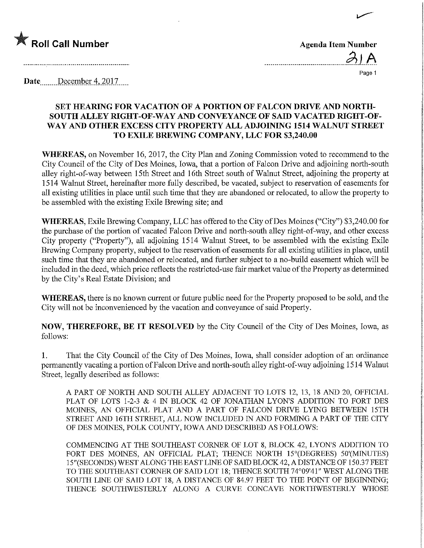

| <b>Agenda Item Number</b> |     |
|---------------------------|-----|
|                           | 31A |

 $\overline{a}$ .

Page 1

Date.....December 4, 2017.....

## SET HEAMNG FOR VACATION OF A PORTION OF FALCON DRIVE AND NORTH-SOUTH ALLEY RIGHT-OF-WAY AND CONVEYANCE OF SAID VACATED RIGHT-OF-WAY AND OTHER EXCESS CITY PROPERTY ALL ADJOINING 1514 WALNUT STREET TO EXILE BREWING COMPANY, LLC FOR \$3,240.00

WHEREAS, on November 16, 2017, the City Plan and Zoning Commission voted to recommend to the City Council of the City of Des Moines, Iowa, that a portion of Falcon Drive and adjoining north-south alley right-of-way between 15th Street and 16th Street south of Walnut Street, adjoining the property at 1514 Walnut Street, hereinafter more fully described, be vacated, subject to reservation of easements for all existing utilities in place until such time that they are abandoned or relocated, to allow the property to be assembled with the existing Exile Brewing site; and

WHEREAS, Exile Brewing Company, LLC has offered to the City of Des Moines ("City") \$3,240.00 for the purchase of the portion of vacated Falcon Drive and north-south alley right-of-way, and other excess City property ("Property"), all adjoining 1514 Walnut Street, to be assembled with the existing Exile Brewing Company property, subject to the reservation of easements for all existing utilities in place, until such time that they are abandoned or relocated, and further subject to a no-build easement which will be included in the deed, which price reflects the restricted-use fair market value of the Property as determmed by the City's Real Estate Division; and

WHEREAS, there is no known current or future public need for the Property proposed to be sold, and the City will not be inconvenienced by the vacation and conveyance of said Property.

NOW, THEREFORE, BE IT RESOLVED by the City Council of the City of Des Moines, Iowa, as follows:

1. That the City Council of the City of Des Moines, Iowa, shall consider adoption of an ordinance permanently vacating a portion of Falcon Drive and north-south alley right-of-way adjoining 1514 Walnut Street, legally described as follows:

A PART OF NORTH AND SOUTH ALLEY ADJACENT TO LOTS 12, 13, 18 AND 20, OFFICIAL PLAT OF LOTS 1-2-3 & 4 IN BLOCK 42 OF JONATHAN LYON'S ADDITION TO FORT DES MOINES, AN OFFICIAL PLAT AND A PART OF FALCON DRIVE LYING BETWEEN 15TH STREET AND 16TH STREET, ALL NOW INCLUDED IN AND FORMING A PART OF THE CITY OF DES MOINES, POLK COUNTY, IOWA AND DESCRIBED AS FOLLOWS:

COMMENCING AT THE SOUTHEAST CORNER OF LOT 8, BLOCK 42, LYON'S ADDITION TO FORT DES MOINES, AN OFFICIAL PLAT; THENCE NORTH 15°(DEGREES) 50'(MINUTES) 15"(SECONDS) WEST ALONG THE EAST LINE OF SAID BLOCK 42, A DISTANCE OF 150.37 FEET TO THE SOUTHEAST CORNER OF SAID LOT 18; THENCE SOUTH 74°09'41" WEST ALONG THE SOUTH LINE OF SAID LOT 18, A DISTANCE OF 84.97 FEET TO THE POINT OF BEGINNING; THENCE SOUTHWESTERLY ALONG A CURVE CONCAVE NORTHWESTERLY WHOSE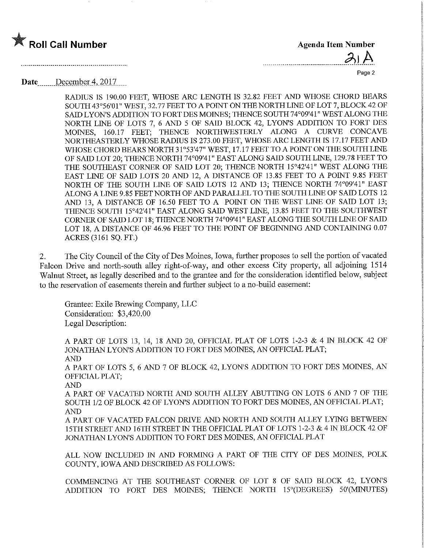

| . |  |  |  |  |  |  |  |  |  |  |  |  |  |  |  |  |  |  |  |  |  |  |  |  |
|---|--|--|--|--|--|--|--|--|--|--|--|--|--|--|--|--|--|--|--|--|--|--|--|--|

 $1.1.1.1.1$ 

Page 2

Date....\_\_\_\_DecemberA2017.

RADIUS IS 190.00 FEET, WHOSE ARC LENGTH IS 32.82 FEET AND WHOSE CHORD BEARS SOUTH 43°56'01" WEST, 32.77 FEET TO A POINT ON THE NORTH LINE OF LOT 7, BLOCK 42 OF SAID LYON'S ADDITION TO FORT DES MOINES; THENCE SOUTH 74°09'4 1" WEST ALONG THE NORTH LINE OF LOTS 7, 6 AND 5 OF SAID BLOCK 42, LYON'S ADDITION TO FORT DES MOINES, 160.17 FEET; THENCE NORTHWESTERLY ALONG A CURVE CONCAVE NORTHEASTERLY WHOSE RADIUS IS 273.00 FEET, WHOSE ARC LENGTH IS 17.17 FEET AND WHOSE CHORD BEARS NORTH 3 1°53'47" WEST, 17.17 FEET TO A POINT ON THE SOUTH LINE OF SAID LOT 20; THENCE NORTH 74°09'41" EAST ALONG SAID SOUTH LINE, 129.78 FEET TO THE SOUTHEAST CORNER OF SAID LOT 20; THENCE NORTH 15°42'41" WEST ALONG THE EAST LINE OF SAID LOTS 20 AND 12, A DISTANCE OF 13.85 FEET TO A POINT 9.85 FEET NORTH OF THE SOUTH LINE OF SAID LOTS 12 AND 13; THENCE NORTH 74°09'41" EAST ALONG A LINE 9.85 FEET NORTH OF AND PARALLEL TO THE SOUTH LINE OF SAID LOTS 12 AND 13, A DISTANCE OF 16.50 FEET TO A POINT ON THE WEST LINE OF SAID LOT 13; THENCE SOUTH 15°42'41" EAST ALONG SAID WEST LINE, 13.85 FEET TO THE SOUTHWEST CORNER OF SAID LOT 18; THENCE NORTH 74°09'41" EAST ALONG THE SOUTH LINE OF SAID LOT 18, A DISTANCE OF 46.96 FEET TO THE POINT OF BEGINNING AND CONTAINING 0.07 ACRES (3161 SQ. FT.)

2. The City Council of the City of Des Moines, Iowa, further proposes to sell the portion of vacated Falcon Drive and north-south alley right-of-way, and other excess City property, all adjoining 1514 Walnut Street, as legally described and to the grantee and for the consideration identified below, subject to the reservation of easements therein and further subject to a no-build easement:

Grantee: Exile Brewing Company, LLC Consideration: \$3,420.00 Legal Description:

A PART OF LOTS 13, 14, 18 AND 20, OFFICIAL PLAT OF LOTS 1-2-3 & 4 IN BLOCK 42 OF JONATHAN LYON'S ADDITION TO FORT DES MOINES, AN OFFICIAL PLAT; AND A PART OF LOTS 5, 6 AND 7 OF BLOCK 42, LYON'S ADDITION TO FORT DES MOINES, AN OFFICIAL PLAT; AND A PART OF VACATBD NORTH AND SOUTH ALLEY ABUTTJNG ON LOTS 6 AND 7 OF THE SOUTH 1/2 OF BLOCK 42 OF LYON'S ADDITION TO FORT DES MOINES, AN OFFICIAL PLAT; AND A PART OF VACATED FALCON DRWE AND NORTH AND SOUTH ALLEY LYING BETWEEN 15TH STREET AND 16TH STREET IN THE OFFICIAL PLAT OF LOTS 1-2-3 & 4 IN BLOCK 42 OF

ALL NOW INCLUDED IN AND FORMING A PART OF THE CITY OF DES MOINES, POLK COUNTY, IOWA AND DESCRIBED AS FOLLOWS:

JONATHAN LYON'S ADDITION TO FORT DES MOINES, AN OFFICIAL PLAT

COMMENCFNG AT THE SOUTHEAST CORNER OF LOT 8 OF SAID BLOCK 42, LYON'S ADDITION TO FORT DES M01NES; THENCE NORTH 15°(DEGREES) 50'(MINUTES)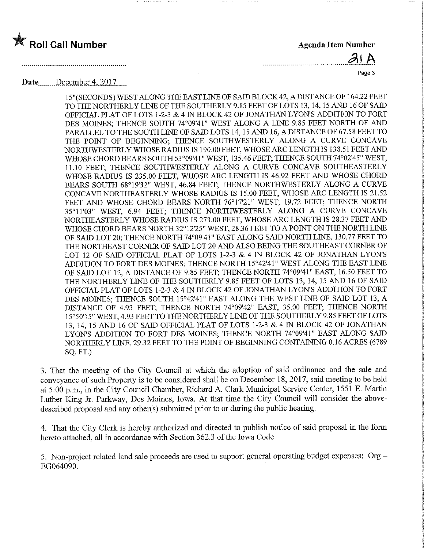



Page 3

## Date December 4, 2017

15"(SECONDS) WEST ALONG THE EAST LINE OF SAID BLOCK 42, A DISTANCE OF 164.22 FEET TOTHENORTHERLYLINEOFTHESOUTHERLY9.85FEETOFLOTS 13,14,15AND 160FSAID OFFICIAL PLAT OF LOTS 1-2-3 & 4 IN BLOCK 42 OF JONATHAN LYON'S ADDITION TO FORT DES MOINES; THENCE SOUTH 74°09'41" WEST ALONG A LINE 9.85 FEET NORTH OF AND PARALLEL TO THE SOUTH LINE OF SAID LOTS 14,15 AND 16, A DISTANCE OF 67.58 FEET TO THE POINT OF BEGINNING; THENCE SOUTHWESTERLY ALONG A CURVE CONCAVE NORTHWESTERLY WHOSE RADIUS IS 190.00 FEET, WHOSE ARC LENGTH IS 138.51 FEET AND WHOSE CHORD BEARS SOUTH 53°09'41" WEST, 135.46 FEET; THENCE SOUTH 74°02'45" WEST, 11.10 FEET; THENCE SOUTHWESTERLY ALONG A CURVE CONCAVE SOUTHEASTERLY WHOSE RADIUS IS 235.00 FEET, WHOSE ARC LENGTH IS 46.92 FEET AND WHOSE CHORD BEARS SOUTH 68°19'32" WEST, 46.84 FEET; THENCE NORTHWESTERLY ALONG A CURVE CONCAVE NORTHEASTERLY WHOSE RADIUS IS 15.00 FEET, WHOSE ARC LENGTH IS 21.52 FEET AND WHOSE CHORD BEARS NORTH 76°17'21" WEST, 19.72 FEET; THENCE NORTH 35°n'03" WEST, 6.94 FEET; THENCE NORTHWESTERLY ALONG A CURVE CONCAVE NORTHEASTERLY WHOSE RADIUS IS 273.00 FEET, WHOSE ARC LENGTH IS 28.37 FEET AND WHOSE CHORD BEARS NORTH 32°12'25" WEST, 28.36 FEET TO APOINT ON THE NORTH LINE OF SAID LOT 20; THENCE NORTH 74°09'41" EAST ALONG SAID NORTH LINE, 130.77 FEET TO THE NORTHEAST CORNER OF SAID LOT 20 AND ALSO BEING THE SOUTHEAST CORNER OF LOT 12 OF SAID OFFICIAL PLAT OF LOTS 1-2-3 & 4 IN BLOCK 42 OF JONATHAN LYON'S ADDITION TO FORT DES MOINES; THENCE NORTH 15°42'41" WEST ALONG THE EAST LINE OF SAID LOT 12, A DISTANCE OF 9.85 FEET; THENCE NORTH 74°09'41" EAST, 16.50 FEET TO THE NORTHERLY LINE OF THE SOUTHERLY 9.85 FEET OF LOTS 13, 14, 15 AND 16 OF SAID OFFICIAL PLAT OF LOTS 1-2-3 & 4 IN BLOCK 42 OF JONATHAN LYON'S ADDITION TO FORT DES MOINES; THENCE SOUTH 15°42'41" EAST ALONG THE WEST LINE OF SAID LOT 13, A DISTANCE OF 4.93 FEET; THENCE NORTH 74°09'42" EAST, 35.00 FEET; THENCE NORTH 15°50'15" WEST, 4.93 FEET TO THENORTHERLYLINEOFTHESOUTHERLY9.85 FEET OF LOTS 13, 14, 15 AND 16 OF SAID OFFICIAL PLAT OP LOTS 1-2-3 & 4 IN BLOCK 42 OF JONATHAN LYON'S ADDITION TO FORT DES MOmES; THENCE NORTH 74°09'41" EAST ALONG SAID NORTHERLY LINE, 29.32 FEET TO THE POINT OF BEGINNING CONTAINING 0.16 ACRES (6789 SQ. FT.)

3. That the meeting of the City Council at which the adoption of said ordinance and the sale and conveyance of such Property is to be considered shall be on December 18, 2017, said meeting to be held at 5:00 p.m., in the City Council Chamber, Richard A. Clark Municipal Service Center, 1551 E. Martin Luther King Jr. Parkway, Des Moines, Iowa. At that time the City Council will consider the abovedescribed proposal and any other(s) submitted prior to or during the public hearing.

4. That the City Clerk is hereby authorized and directed to publish notice of said proposal in the form hereto attached, all in accordance with Section 362.3 of the Iowa Code.

5. Non-project related land sale proceeds are used to support general operating budget expenses: Org - EG064090.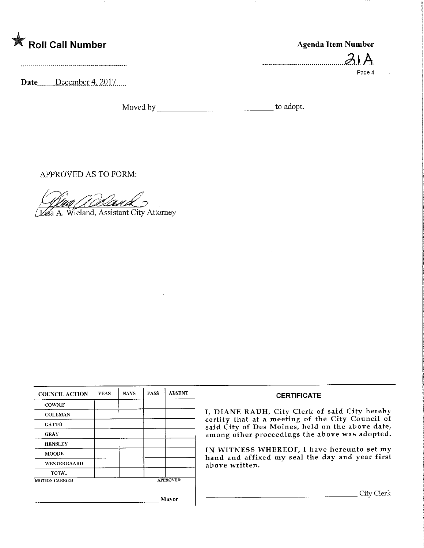| <b>K</b> Roll Call Number | Agenda Item Number |
|---------------------------|--------------------|
|                           |                    |
|                           | Page 4             |
| December 4, 2017<br>Date  |                    |

Moved by to adopt.

APPROVED AS TO FORM:

Van d

a A. Wieland, Assistant City Attorney

| <b>COUNCIL ACTION</b> | <b>YEAS</b> | <b>NAYS</b> | <b>PASS</b> | <b>ABSENT</b>   |
|-----------------------|-------------|-------------|-------------|-----------------|
| <b>COWNIE</b>         |             |             |             |                 |
| <b>COLEMAN</b>        |             |             |             |                 |
| <b>GATTO</b>          |             |             |             |                 |
| <b>GRAY</b>           |             |             |             |                 |
| <b>HENSLEY</b>        |             |             |             |                 |
| <b>MOORE</b>          |             |             |             |                 |
| <b>WESTERGAARD</b>    |             |             |             |                 |
| <b>TOTAL</b>          |             |             |             |                 |
| <b>MOTION CARRIED</b> |             |             |             | <b>APPROVED</b> |

## CERTIFICATE

I/ DIANE RAUH/ City Clerk of said City hereby certify that at a meeting of the City Council of said City of Des Moines, held on the above date, among other proceedings the above was adopted.

IN WITNESS WHEREOF, I have hereunto set my hand and affixed my seal the day and year first above written.

City Clerk